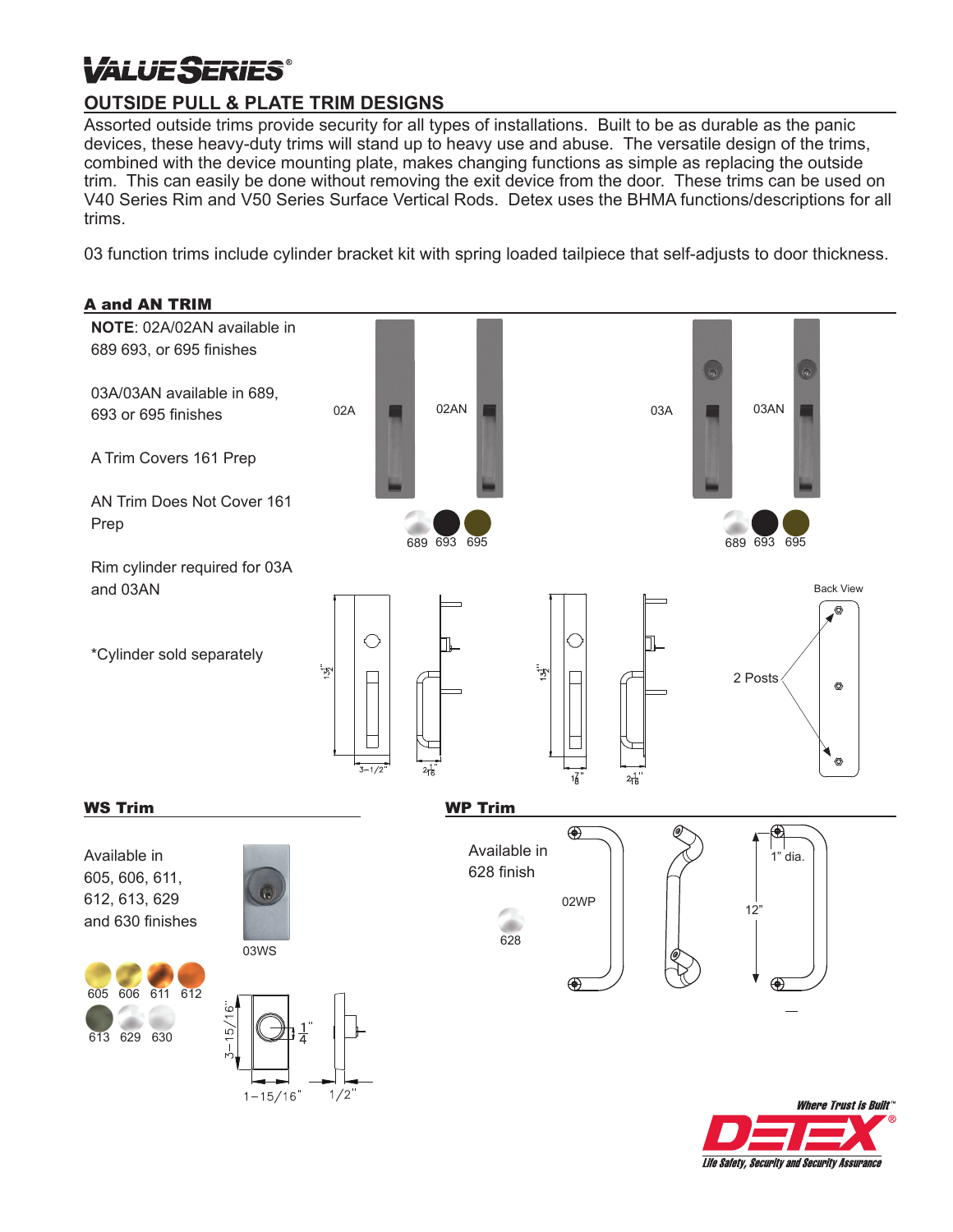## *VALUE SERIES*

## **OUTSIDE PULL & PLATE TRIM DESIGNS**

Assorted outside trims provide security for all types of installations. Built to be as durable as the panic devices, these heavy-duty trims will stand up to heavy use and abuse. The versatile design of the trims, combined with the device mounting plate, makes changing functions as simple as replacing the outside trim. This can easily be done without removing the exit device from the door. These trims can be used on V40 Series Rim and V50 Series Surface Vertical Rods. Detex uses the BHMA functions/descriptions for all trims.

03 function trims include cylinder bracket kit with spring loaded tailpiece that self-adjusts to door thickness.



Life Safety, Security and Security Assurance